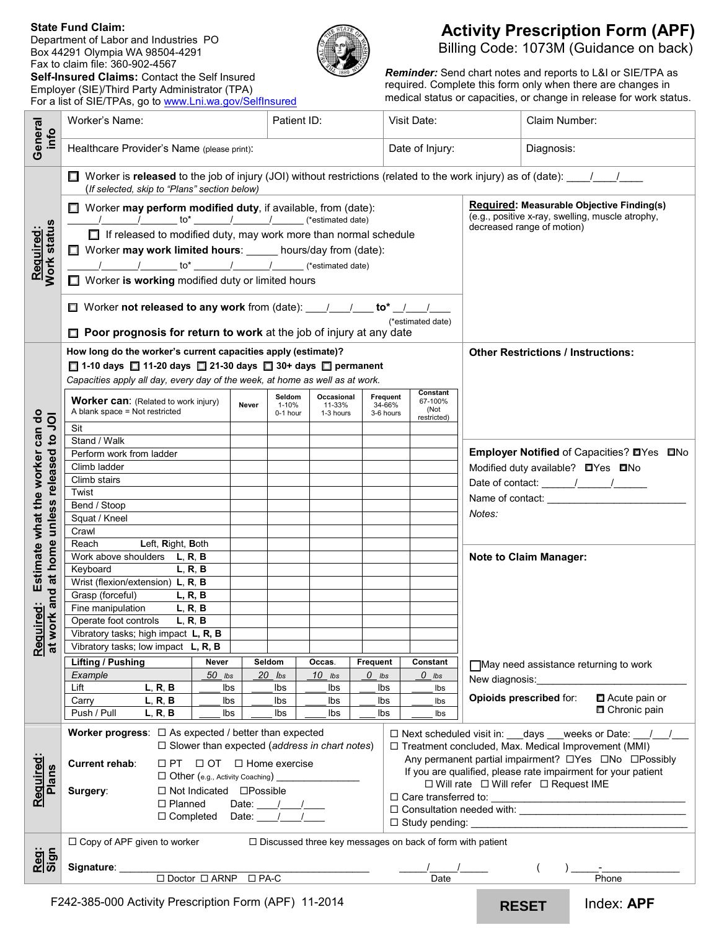#### **State Fund Claim:**

Department of Labor and Industries PO Box 44291 Olympia WA 98504-4291 Fax to claim file: 360-902-4567

**Self-Insured Claims:** Contact the Self Insured Employer (SIE)/Third Party Administrator (TPA) For a list of SIE/TPAs, go t[o www.Lni.wa.gov/SelfInsured](http://www.lni.wa.gov/SelfInsured)



# **Activity Prescription Form (APF)** Billing Code: 1073M (Guidance on back)

*Reminder:* Send chart notes and reports to L&I or SIE/TPA as required. Complete this form only when there are changes in medical status or capacities, or change in release for work status.

| General                                                                                                                                | Worker's Name:                                                                                                                                                                                                                            | Patient ID:                                                      | Visit Date:                                                                   | Claim Number:                                                                                                               |  |
|----------------------------------------------------------------------------------------------------------------------------------------|-------------------------------------------------------------------------------------------------------------------------------------------------------------------------------------------------------------------------------------------|------------------------------------------------------------------|-------------------------------------------------------------------------------|-----------------------------------------------------------------------------------------------------------------------------|--|
| info                                                                                                                                   | Healthcare Provider's Name (please print):                                                                                                                                                                                                |                                                                  | Date of Injury:                                                               | Diagnosis:                                                                                                                  |  |
| Required:<br>Work status                                                                                                               | Worker is released to the job of injury (JOI) without restrictions (related to the work injury) as of (date): $\frac{1}{\sqrt{2}}$<br>ш<br>(If selected, skip to "Plans" section below)                                                   |                                                                  |                                                                               |                                                                                                                             |  |
|                                                                                                                                        | $\Box$ Worker may perform modified duty, if available, from (date):<br>$\frac{1}{2}$ $\frac{1}{2}$ to* $\frac{1}{2}$ $\frac{1}{2}$ $\frac{1}{2}$ $\frac{1}{2}$ (*estimated date)                                                          |                                                                  |                                                                               | Required: Measurable Objective Finding(s)<br>(e.g., positive x-ray, swelling, muscle atrophy,<br>decreased range of motion) |  |
|                                                                                                                                        | $\Box$ If released to modified duty, may work more than normal schedule<br>□ Worker may work limited hours: _____ hours/day from (date):                                                                                                  |                                                                  |                                                                               |                                                                                                                             |  |
|                                                                                                                                        | Worker is working modified duty or limited hours                                                                                                                                                                                          |                                                                  |                                                                               |                                                                                                                             |  |
|                                                                                                                                        | □ Worker not released to any work from (date): ___/___/___ to* _/___/___<br>(*estimated date)                                                                                                                                             |                                                                  |                                                                               |                                                                                                                             |  |
|                                                                                                                                        | $\Box$ Poor prognosis for return to work at the job of injury at any date                                                                                                                                                                 |                                                                  |                                                                               |                                                                                                                             |  |
| Estimate what the worker can do<br><b>IOL</b> <sub>01</sub><br>unless released<br>at home<br>and<br>juired:<br>work<br>$\frac{20}{at}$ | How long do the worker's current capacities apply (estimate)?<br>$\Box$ 1-10 days $\Box$ 11-20 days $\Box$ 21-30 days $\Box$ 30+ days $\Box$ permanent<br>Capacities apply all day, every day of the week, at home as well as at work.    |                                                                  |                                                                               | <b>Other Restrictions / Instructions:</b>                                                                                   |  |
|                                                                                                                                        | <b>Worker can:</b> (Related to work injury)<br>Never<br>A blank space = Not restricted                                                                                                                                                    | Seldom<br>Occasional<br>11-33%<br>1-10%<br>1-3 hours<br>0-1 hour | Constant<br>Frequent<br>67-100%<br>34-66%<br>(Not<br>3-6 hours<br>restricted) |                                                                                                                             |  |
|                                                                                                                                        | Sit<br>Stand / Walk                                                                                                                                                                                                                       |                                                                  |                                                                               |                                                                                                                             |  |
|                                                                                                                                        | Perform work from ladder                                                                                                                                                                                                                  |                                                                  |                                                                               | Employer Notified of Capacities? OYes ONo                                                                                   |  |
|                                                                                                                                        | Climb ladder                                                                                                                                                                                                                              |                                                                  |                                                                               | Modified duty available? <b>O</b> Yes ONo                                                                                   |  |
|                                                                                                                                        | Climb stairs<br>Twist                                                                                                                                                                                                                     |                                                                  |                                                                               |                                                                                                                             |  |
|                                                                                                                                        | Bend / Stoop                                                                                                                                                                                                                              |                                                                  |                                                                               |                                                                                                                             |  |
|                                                                                                                                        | Squat / Kneel                                                                                                                                                                                                                             |                                                                  |                                                                               | Notes:                                                                                                                      |  |
|                                                                                                                                        | Crawl<br>Reach                                                                                                                                                                                                                            |                                                                  |                                                                               |                                                                                                                             |  |
|                                                                                                                                        | Left, Right, Both<br>Work above shoulders $L, R, B$                                                                                                                                                                                       |                                                                  |                                                                               | <b>Note to Claim Manager:</b>                                                                                               |  |
|                                                                                                                                        | Keyboard<br>L, R, B                                                                                                                                                                                                                       |                                                                  |                                                                               |                                                                                                                             |  |
|                                                                                                                                        | Wrist (flexion/extension) L, R, B                                                                                                                                                                                                         |                                                                  |                                                                               |                                                                                                                             |  |
|                                                                                                                                        | Grasp (forceful)<br>L, R, B<br>Fine manipulation<br>L, R, B                                                                                                                                                                               |                                                                  |                                                                               |                                                                                                                             |  |
|                                                                                                                                        | Operate foot controls<br>L, R, B                                                                                                                                                                                                          |                                                                  |                                                                               |                                                                                                                             |  |
|                                                                                                                                        | Vibratory tasks; high impact L, R, B                                                                                                                                                                                                      |                                                                  |                                                                               |                                                                                                                             |  |
|                                                                                                                                        | Vibratory tasks; low impact L, R, B                                                                                                                                                                                                       |                                                                  |                                                                               |                                                                                                                             |  |
|                                                                                                                                        | <b>Lifting / Pushing</b><br>Never                                                                                                                                                                                                         | Seldom<br>Frequent<br>Occas.                                     | Constant                                                                      | May need assistance returning to work                                                                                       |  |
|                                                                                                                                        | Example<br>$50$ lbs<br>L, R, B<br>Lift<br>lbs                                                                                                                                                                                             | $20$ $\mu$ s<br>$10$ lbs<br>lbs<br>lbs                           | $0$ lbs<br>$0$ lbs<br>lbs<br>lbs                                              |                                                                                                                             |  |
|                                                                                                                                        | L, R, B<br>Carry<br>lbs                                                                                                                                                                                                                   | lbs<br>lbs                                                       | Ibs<br>Ibs                                                                    | Acute pain or<br>Opioids prescribed for:                                                                                    |  |
|                                                                                                                                        | Push / Pull<br>L, R, B<br>lbs                                                                                                                                                                                                             | lbs<br>lbs                                                       | lbs<br>Ibs                                                                    | □ Chronic pain                                                                                                              |  |
| Required:<br><b>Plans</b>                                                                                                              | Worker progress: $\Box$ As expected / better than expected<br>$\Box$ Next scheduled visit in: days weeks or Date: $\Box$<br>$\Box$ Slower than expected (address in chart notes)<br>□ Treatment concluded, Max. Medical Improvement (MMI) |                                                                  |                                                                               |                                                                                                                             |  |
|                                                                                                                                        | Current rehab:<br>$\Box PT$ $\Box OT$ $\Box$ Home exercise<br>□ Other (e.g., Activity Coaching) ______                                                                                                                                    |                                                                  |                                                                               | Any permanent partial impairment? □Yes □No □Possibly<br>If you are qualified, please rate impairment for your patient       |  |
|                                                                                                                                        | □ Not Indicated □ Possible<br>Surgery:                                                                                                                                                                                                    |                                                                  |                                                                               | $\Box$ Will rate $\Box$ Will refer $\Box$ Request IME                                                                       |  |
|                                                                                                                                        | $\Box$ Planned<br>Date: $\frac{1}{\sqrt{2}}$                                                                                                                                                                                              |                                                                  |                                                                               |                                                                                                                             |  |
|                                                                                                                                        | $\Box$ Completed Date: $\frac{1}{\Box}$<br>$\Box$ Study pending:                                                                                                                                                                          |                                                                  |                                                                               |                                                                                                                             |  |
|                                                                                                                                        | $\Box$ Copy of APF given to worker<br>$\Box$ Discussed three key messages on back of form with patient                                                                                                                                    |                                                                  |                                                                               |                                                                                                                             |  |
| Reg:<br>Sign                                                                                                                           |                                                                                                                                                                                                                                           |                                                                  |                                                                               |                                                                                                                             |  |
|                                                                                                                                        | Signature: _<br>$\Box$ Doctor $\Box$ ARNP $\Box$ PA-C                                                                                                                                                                                     |                                                                  | Date                                                                          | Phone                                                                                                                       |  |
| F242-385-000 Activity Prescription Form (APF) 11-2014<br>Index: APF<br><b>RESET</b>                                                    |                                                                                                                                                                                                                                           |                                                                  |                                                                               |                                                                                                                             |  |